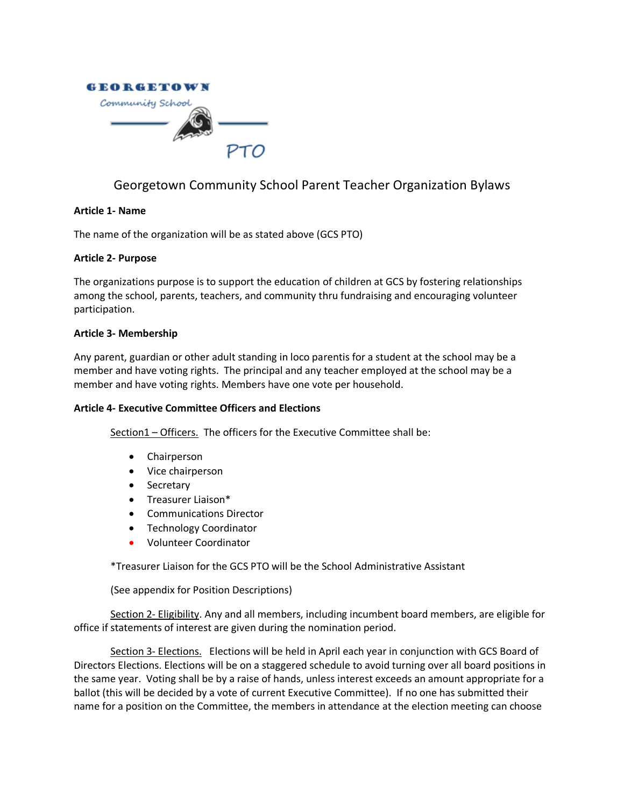

# Georgetown Community School Parent Teacher Organization Bylaws

## **Article 1- Name**

The name of the organization will be as stated above (GCS PTO)

## **Article 2- Purpose**

The organizations purpose is to support the education of children at GCS by fostering relationships among the school, parents, teachers, and community thru fundraising and encouraging volunteer participation.

## **Article 3- Membership**

Any parent, guardian or other adult standing in loco parentis for a student at the school may be a member and have voting rights. The principal and any teacher employed at the school may be a member and have voting rights. Members have one vote per household.

## **Article 4- Executive Committee Officers and Elections**

Section1 – Officers. The officers for the Executive Committee shall be:

- Chairperson
- Vice chairperson
- Secretary
- Treasurer Liaison\*
- Communications Director
- Technology Coordinator
- Volunteer Coordinator

\*Treasurer Liaison for the GCS PTO will be the School Administrative Assistant

(See appendix for Position Descriptions)

Section 2- Eligibility. Any and all members, including incumbent board members, are eligible for office if statements of interest are given during the nomination period.

Section 3- Elections. Elections will be held in April each year in conjunction with GCS Board of Directors Elections. Elections will be on a staggered schedule to avoid turning over all board positions in the same year. Voting shall be by a raise of hands, unless interest exceeds an amount appropriate for a ballot (this will be decided by a vote of current Executive Committee). If no one has submitted their name for a position on the Committee, the members in attendance at the election meeting can choose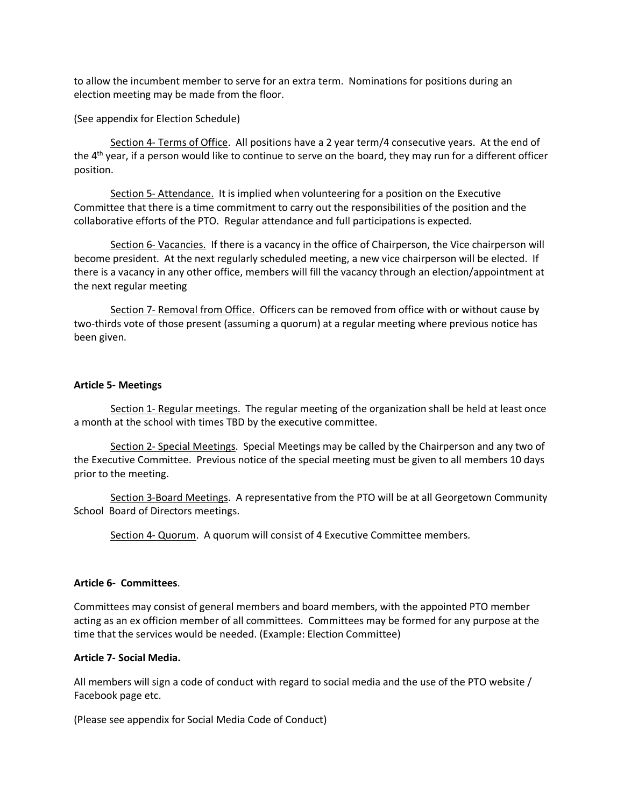to allow the incumbent member to serve for an extra term. Nominations for positions during an election meeting may be made from the floor.

(See appendix for Election Schedule)

Section 4- Terms of Office. All positions have a 2 year term/4 consecutive years. At the end of the 4<sup>th</sup> year, if a person would like to continue to serve on the board, they may run for a different officer position.

Section 5- Attendance. It is implied when volunteering for a position on the Executive Committee that there is a time commitment to carry out the responsibilities of the position and the collaborative efforts of the PTO. Regular attendance and full participations is expected.

Section 6- Vacancies. If there is a vacancy in the office of Chairperson, the Vice chairperson will become president. At the next regularly scheduled meeting, a new vice chairperson will be elected. If there is a vacancy in any other office, members will fill the vacancy through an election/appointment at the next regular meeting

Section 7- Removal from Office. Officers can be removed from office with or without cause by two-thirds vote of those present (assuming a quorum) at a regular meeting where previous notice has been given.

#### **Article 5- Meetings**

Section 1- Regular meetings. The regular meeting of the organization shall be held at least once a month at the school with times TBD by the executive committee.

Section 2- Special Meetings. Special Meetings may be called by the Chairperson and any two of the Executive Committee. Previous notice of the special meeting must be given to all members 10 days prior to the meeting.

Section 3-Board Meetings. A representative from the PTO will be at all Georgetown Community School Board of Directors meetings.

Section 4- Quorum. A quorum will consist of 4 Executive Committee members.

## **Article 6- Committees**.

Committees may consist of general members and board members, with the appointed PTO member acting as an ex officion member of all committees. Committees may be formed for any purpose at the time that the services would be needed. (Example: Election Committee)

#### **Article 7- Social Media.**

All members will sign a code of conduct with regard to social media and the use of the PTO website / Facebook page etc.

(Please see appendix for Social Media Code of Conduct)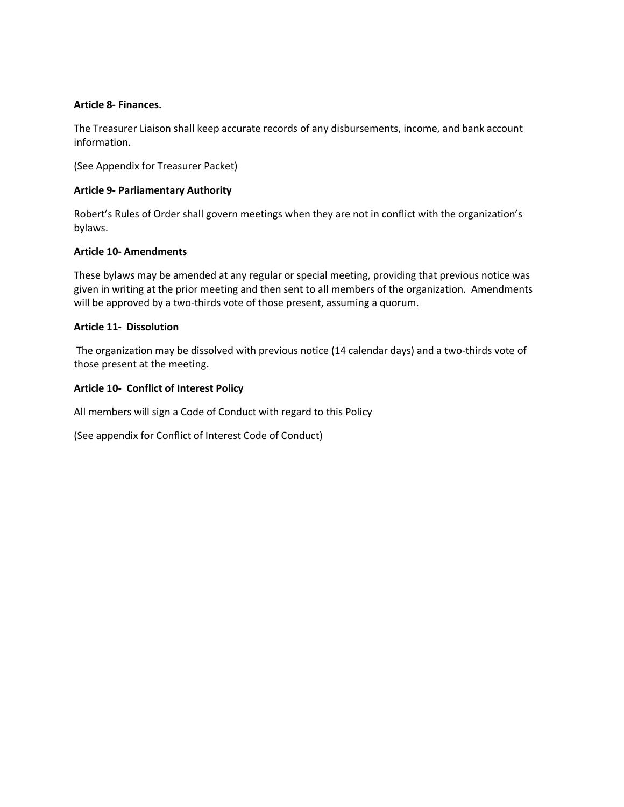## **Article 8- Finances.**

The Treasurer Liaison shall keep accurate records of any disbursements, income, and bank account information.

(See Appendix for Treasurer Packet)

## **Article 9- Parliamentary Authority**

Robert's Rules of Order shall govern meetings when they are not in conflict with the organization's bylaws.

## **Article 10- Amendments**

These bylaws may be amended at any regular or special meeting, providing that previous notice was given in writing at the prior meeting and then sent to all members of the organization. Amendments will be approved by a two-thirds vote of those present, assuming a quorum.

## **Article 11- Dissolution**

The organization may be dissolved with previous notice (14 calendar days) and a two-thirds vote of those present at the meeting.

## **Article 10- Conflict of Interest Policy**

All members will sign a Code of Conduct with regard to this Policy

(See appendix for Conflict of Interest Code of Conduct)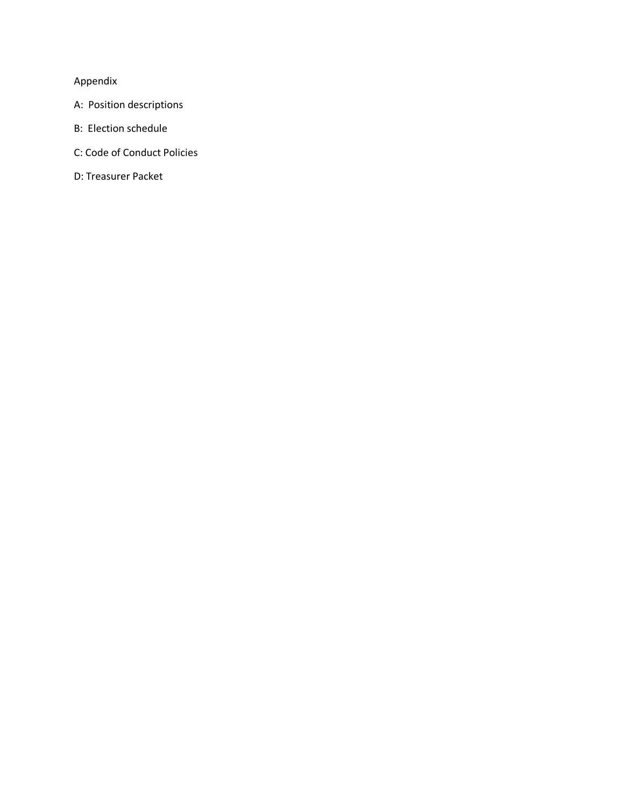# Appendix

- A: Position descriptions
- B: Election schedule
- C: Code of Conduct Policies
- D: Treasurer Packet